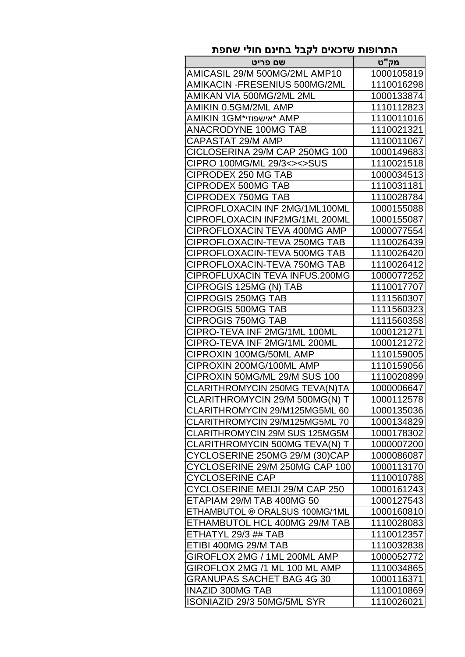| התרופות שזכאים לקבל בחינם חולי שחפת |            |
|-------------------------------------|------------|
| שם פריט                             | מק"ט       |
| AMICASIL 29/M 500MG/2ML AMP10       | 1000105819 |
| AMIKACIN -FRESENIUS 500MG/2ML       | 1110016298 |
| AMIKAN VIA 500MG/2ML 2ML            | 1000133874 |
| AMIKIN 0.5GM/2ML AMP                | 1110112823 |
| AMIKIN 1GM*אישפוזי* AMP             | 1110011016 |
| <b>ANACRODYNE 100MG TAB</b>         | 1110021321 |
| CAPASTAT 29/M AMP                   | 1110011067 |
| CICLOSERINA 29/M CAP 250MG 100      | 1000149683 |
| CIPRO 100MG/ML 29/3<><>SUS          | 1110021518 |
| <b>CIPRODEX 250 MG TAB</b>          | 1000034513 |
| <b>CIPRODEX 500MG TAB</b>           | 1110031181 |
| <b>CIPRODEX 750MG TAB</b>           | 1110028784 |
| CIPROFLOXACIN INF 2MG/1ML100ML      | 1000155088 |
| CIPROFLOXACIN INF2MG/1ML 200ML      | 1000155087 |
| CIPROFLOXACIN TEVA 400MG AMP        | 1000077554 |
| CIPROFLOXACIN-TEVA 250MG TAB        | 1110026439 |
| CIPROFLOXACIN-TEVA 500MG TAB        | 1110026420 |
| CIPROFLOXACIN-TEVA 750MG TAB        | 1110026412 |
| CIPROFLUXACIN TEVA INFUS.200MG      | 1000077252 |
| CIPROGIS 125MG (N) TAB              | 1110017707 |
| <b>CIPROGIS 250MG TAB</b>           | 1111560307 |
| <b>CIPROGIS 500MG TAB</b>           | 1111560323 |
| <b>CIPROGIS 750MG TAB</b>           | 1111560358 |
| CIPRO-TEVA INF 2MG/1ML 100ML        | 1000121271 |
| CIPRO-TEVA INF 2MG/1ML 200ML        | 1000121272 |
| CIPROXIN 100MG/50ML AMP             | 1110159005 |
| CIPROXIN 200MG/100ML AMP            | 1110159056 |
| CIPROXIN 50MG/ML 29/M SUS 100       | 1110020899 |
| CLARITHROMYCIN 250MG TEVA(N)TA      | 1000006647 |
| CLARITHROMYCIN 29/M 500MG(N) T      | 1000112578 |
| CLARITHROMYCIN 29/M125MG5ML 60      | 1000135036 |
| CLARITHROMYCIN 29/M125MG5ML 70      | 1000134829 |
| CLARITHROMYCIN 29M SUS 125MG5M      | 1000178302 |
| CLARITHROMYCIN 500MG TEVA(N) T      | 1000007200 |
| CYCLOSERINE 250MG 29/M (30)CAP      | 1000086087 |
| CYCLOSERINE 29/M 250MG CAP 100      | 1000113170 |
| <b>CYCLOSERINE CAP</b>              | 1110010788 |
| CYCLOSERINE MEIJI 29/M CAP 250      | 1000161243 |
| ETAPIAM 29/M TAB 400MG 50           | 1000127543 |
| ETHAMBUTOL ® ORALSUS 100MG/1ML      | 1000160810 |
| ETHAMBUTOL HCL 400MG 29/M TAB       | 1110028083 |
| ETHATYL 29/3 ## TAB                 | 1110012357 |
| ETIBI 400MG 29/M TAB                | 1110032838 |
| GIROFLOX 2MG / 1ML 200ML AMP        | 1000052772 |
| GIROFLOX 2MG /1 ML 100 ML AMP       | 1110034865 |
| <b>GRANUPAS SACHET BAG 4G 30</b>    | 1000116371 |
| <b>INAZID 300MG TAB</b>             | 1110010869 |
| ISONIAZID 29/3 50MG/5ML SYR         | 1110026021 |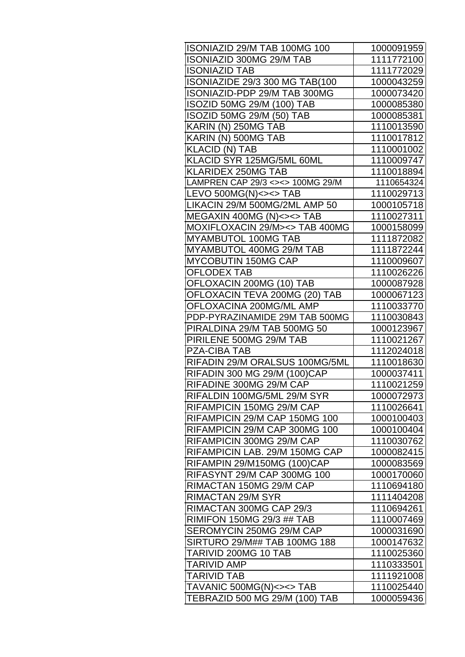| ISONIAZID 29/M TAB 100MG 100     | 1000091959 |
|----------------------------------|------------|
| <b>ISONIAZID 300MG 29/M TAB</b>  | 1111772100 |
| <b>ISONIAZID TAB</b>             | 1111772029 |
| ISONIAZIDE 29/3 300 MG TAB(100   | 1000043259 |
| ISONIAZID-PDP 29/M TAB 300MG     | 1000073420 |
| ISOZID 50MG 29/M (100) TAB       | 1000085380 |
| ISOZID 50MG 29/M (50) TAB        | 1000085381 |
| KARIN (N) 250MG TAB              | 1110013590 |
| KARIN (N) 500MG TAB              | 1110017812 |
| <b>KLACID (N) TAB</b>            | 1110001002 |
| KLACID SYR 125MG/5ML 60ML        | 1110009747 |
| <b>KLARIDEX 250MG TAB</b>        | 1110018894 |
| LAMPREN CAP 29/3 <><> 100MG 29/M | 1110654324 |
| LEVO 500MG(N)<><> TAB            | 1110029713 |
| LIKACIN 29/M 500MG/2ML AMP 50    | 1000105718 |
| MEGAXIN 400MG (N)<><> TAB        | 1110027311 |
| MOXIFLOXACIN 29/M> <> TAB 400MG  | 1000158099 |
| <b>MYAMBUTOL 100MG TAB</b>       | 1111872082 |
| MYAMBUTOL 400MG 29/M TAB         | 1111872244 |
| <b>MYCOBUTIN 150MG CAP</b>       | 1110009607 |
| <b>OFLODEX TAB</b>               | 1110026226 |
| OFLOXACIN 200MG (10) TAB         | 1000087928 |
| OFLOXACIN TEVA 200MG (20) TAB    | 1000067123 |
| OFLOXACINA 200MG/ML AMP          | 1110033770 |
| PDP-PYRAZINAMIDE 29M TAB 500MG   | 1110030843 |
| PIRALDINA 29/M TAB 500MG 50      | 1000123967 |
| PIRILENE 500MG 29/M TAB          | 1110021267 |
| <b>PZA-CIBA TAB</b>              | 1112024018 |
| RIFADIN 29/M ORALSUS 100MG/5ML   | 1110018630 |
| RIFADIN 300 MG 29/M (100)CAP     | 1000037411 |
| RIFADINE 300MG 29/M CAP          | 1110021259 |
| RIFALDIN 100MG/5ML 29/M SYR      | 1000072973 |
| RIFAMPICIN 150MG 29/M CAP        | 1110026641 |
| RIFAMPICIN 29/M CAP 150MG 100    | 1000100403 |
| RIFAMPICIN 29/M CAP 300MG 100    | 1000100404 |
| RIFAMPICIN 300MG 29/M CAP        | 1110030762 |
| RIFAMPICIN LAB. 29/M 150MG CAP   | 1000082415 |
| RIFAMPIN 29/M150MG (100)CAP      | 1000083569 |
| RIFASYNT 29/M CAP 300MG 100      | 1000170060 |
| RIMACTAN 150MG 29/M CAP          | 1110694180 |
| <b>RIMACTAN 29/M SYR</b>         | 1111404208 |
| RIMACTAN 300MG CAP 29/3          | 1110694261 |
| <b>RIMIFON 150MG 29/3 ## TAB</b> | 1110007469 |
| SEROMYCIN 250MG 29/M CAP         | 1000031690 |
| SIRTURO 29/M## TAB 100MG 188     | 1000147632 |
| TARIVID 200MG 10 TAB             | 1110025360 |
| <b>TARIVID AMP</b>               | 1110333501 |
| <b>TARIVID TAB</b>               | 1111921008 |
| TAVANIC 500MG(N)<><> TAB         | 1110025440 |
| TEBRAZID 500 MG 29/M (100) TAB   | 1000059436 |